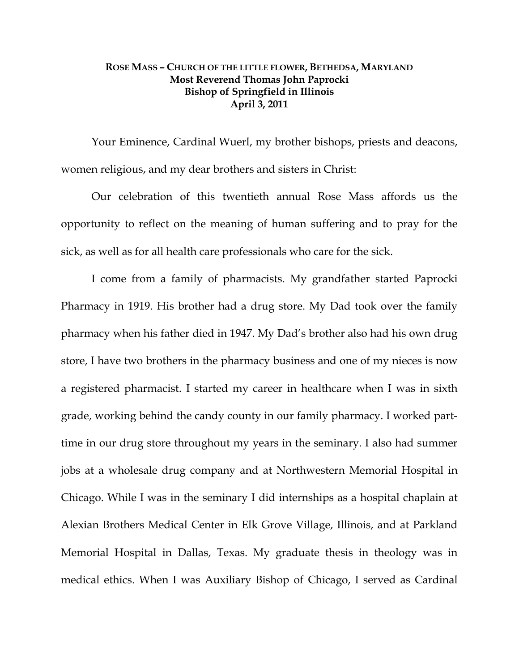## **ROSE MASS – CHURCH OF THE LITTLE FLOWER, BETHEDSA, MARYLAND Most Reverend Thomas John Paprocki Bishop of Springfield in Illinois April 3, 2011**

 Your Eminence, Cardinal Wuerl, my brother bishops, priests and deacons, women religious, and my dear brothers and sisters in Christ:

Our celebration of this twentieth annual Rose Mass affords us the opportunity to reflect on the meaning of human suffering and to pray for the sick, as well as for all health care professionals who care for the sick.

I come from a family of pharmacists. My grandfather started Paprocki Pharmacy in 1919. His brother had a drug store. My Dad took over the family pharmacy when his father died in 1947. My Dad's brother also had his own drug store, I have two brothers in the pharmacy business and one of my nieces is now a registered pharmacist. I started my career in healthcare when I was in sixth grade, working behind the candy county in our family pharmacy. I worked parttime in our drug store throughout my years in the seminary. I also had summer jobs at a wholesale drug company and at Northwestern Memorial Hospital in Chicago. While I was in the seminary I did internships as a hospital chaplain at Alexian Brothers Medical Center in Elk Grove Village, Illinois, and at Parkland Memorial Hospital in Dallas, Texas. My graduate thesis in theology was in medical ethics. When I was Auxiliary Bishop of Chicago, I served as Cardinal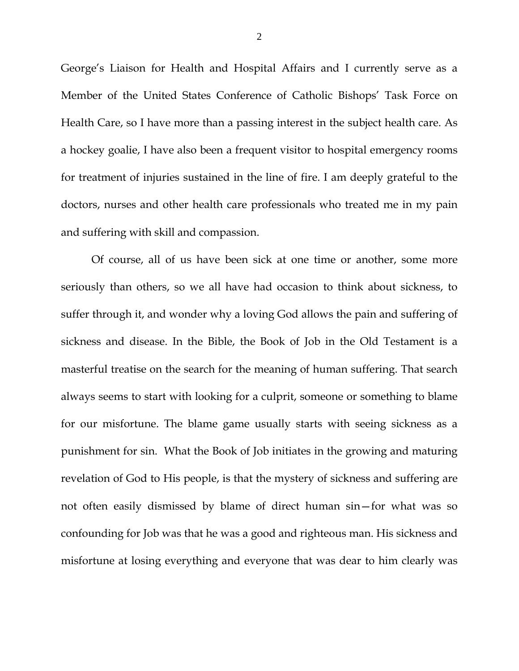George's Liaison for Health and Hospital Affairs and I currently serve as a Member of the United States Conference of Catholic Bishops' Task Force on Health Care, so I have more than a passing interest in the subject health care. As a hockey goalie, I have also been a frequent visitor to hospital emergency rooms for treatment of injuries sustained in the line of fire. I am deeply grateful to the doctors, nurses and other health care professionals who treated me in my pain and suffering with skill and compassion.

Of course, all of us have been sick at one time or another, some more seriously than others, so we all have had occasion to think about sickness, to suffer through it, and wonder why a loving God allows the pain and suffering of sickness and disease. In the Bible, the Book of Job in the Old Testament is a masterful treatise on the search for the meaning of human suffering. That search always seems to start with looking for a culprit, someone or something to blame for our misfortune. The blame game usually starts with seeing sickness as a punishment for sin. What the Book of Job initiates in the growing and maturing revelation of God to His people, is that the mystery of sickness and suffering are not often easily dismissed by blame of direct human sin—for what was so confounding for Job was that he was a good and righteous man. His sickness and misfortune at losing everything and everyone that was dear to him clearly was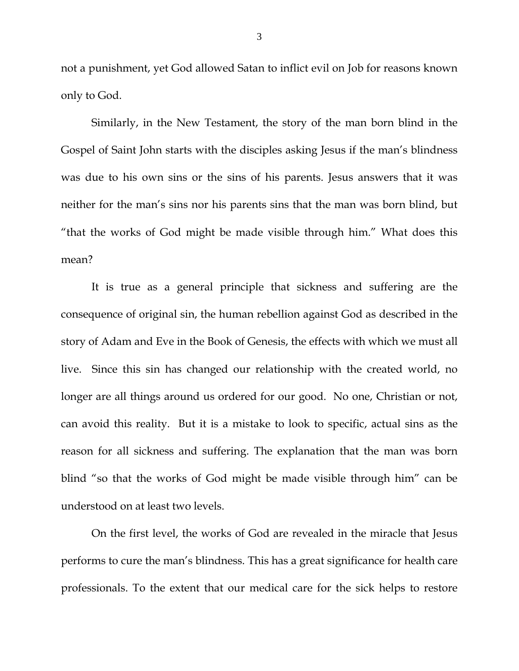not a punishment, yet God allowed Satan to inflict evil on Job for reasons known only to God.

Similarly, in the New Testament, the story of the man born blind in the Gospel of Saint John starts with the disciples asking Jesus if the man's blindness was due to his own sins or the sins of his parents. Jesus answers that it was neither for the man's sins nor his parents sins that the man was born blind, but "that the works of God might be made visible through him." What does this mean?

It is true as a general principle that sickness and suffering are the consequence of original sin, the human rebellion against God as described in the story of Adam and Eve in the Book of Genesis, the effects with which we must all live. Since this sin has changed our relationship with the created world, no longer are all things around us ordered for our good. No one, Christian or not, can avoid this reality. But it is a mistake to look to specific, actual sins as the reason for all sickness and suffering. The explanation that the man was born blind "so that the works of God might be made visible through him" can be understood on at least two levels.

On the first level, the works of God are revealed in the miracle that Jesus performs to cure the man's blindness. This has a great significance for health care professionals. To the extent that our medical care for the sick helps to restore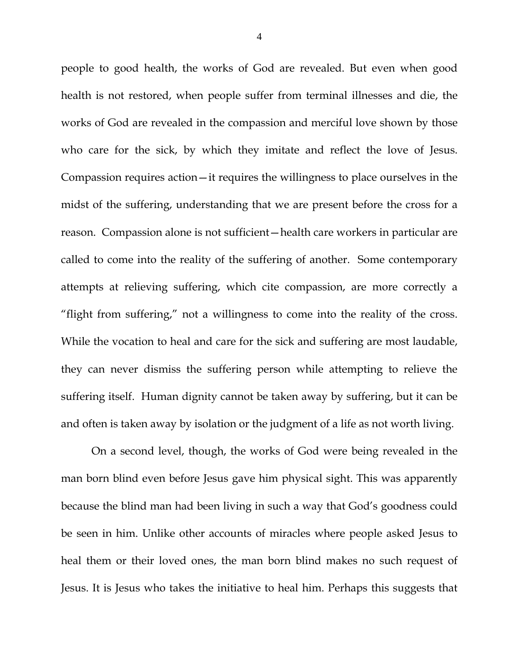people to good health, the works of God are revealed. But even when good health is not restored, when people suffer from terminal illnesses and die, the works of God are revealed in the compassion and merciful love shown by those who care for the sick, by which they imitate and reflect the love of Jesus. Compassion requires action—it requires the willingness to place ourselves in the midst of the suffering, understanding that we are present before the cross for a reason. Compassion alone is not sufficient—health care workers in particular are called to come into the reality of the suffering of another. Some contemporary attempts at relieving suffering, which cite compassion, are more correctly a "flight from suffering," not a willingness to come into the reality of the cross. While the vocation to heal and care for the sick and suffering are most laudable, they can never dismiss the suffering person while attempting to relieve the suffering itself. Human dignity cannot be taken away by suffering, but it can be and often is taken away by isolation or the judgment of a life as not worth living.

On a second level, though, the works of God were being revealed in the man born blind even before Jesus gave him physical sight. This was apparently because the blind man had been living in such a way that God's goodness could be seen in him. Unlike other accounts of miracles where people asked Jesus to heal them or their loved ones, the man born blind makes no such request of Jesus. It is Jesus who takes the initiative to heal him. Perhaps this suggests that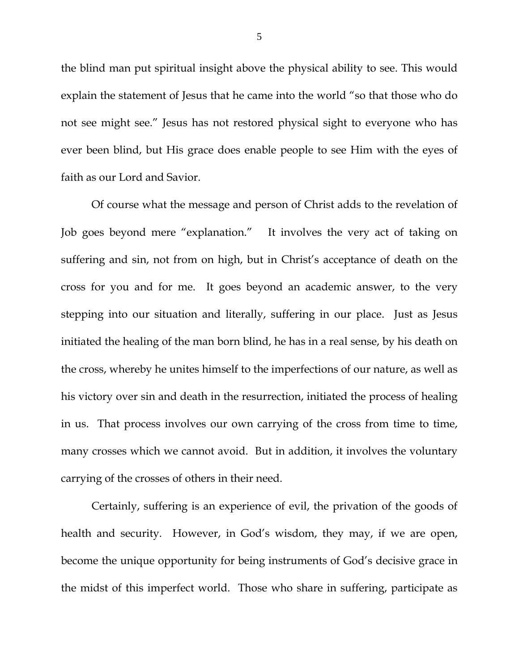the blind man put spiritual insight above the physical ability to see. This would explain the statement of Jesus that he came into the world "so that those who do not see might see." Jesus has not restored physical sight to everyone who has ever been blind, but His grace does enable people to see Him with the eyes of faith as our Lord and Savior.

Of course what the message and person of Christ adds to the revelation of Job goes beyond mere "explanation." It involves the very act of taking on suffering and sin, not from on high, but in Christ's acceptance of death on the cross for you and for me. It goes beyond an academic answer, to the very stepping into our situation and literally, suffering in our place. Just as Jesus initiated the healing of the man born blind, he has in a real sense, by his death on the cross, whereby he unites himself to the imperfections of our nature, as well as his victory over sin and death in the resurrection, initiated the process of healing in us. That process involves our own carrying of the cross from time to time, many crosses which we cannot avoid. But in addition, it involves the voluntary carrying of the crosses of others in their need.

Certainly, suffering is an experience of evil, the privation of the goods of health and security. However, in God's wisdom, they may, if we are open, become the unique opportunity for being instruments of God's decisive grace in the midst of this imperfect world. Those who share in suffering, participate as

5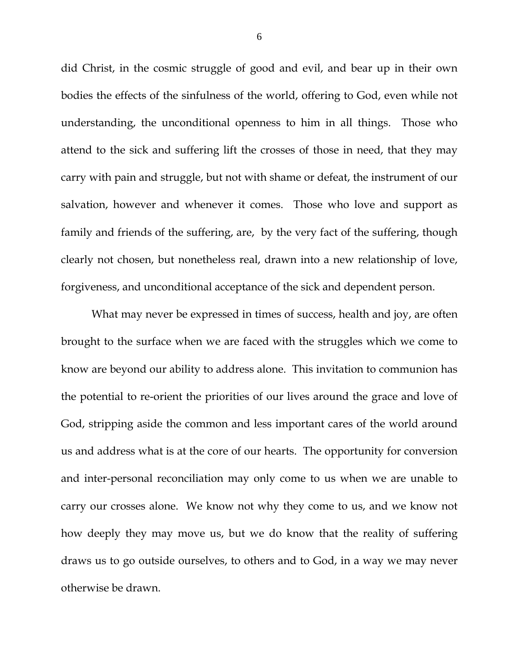did Christ, in the cosmic struggle of good and evil, and bear up in their own bodies the effects of the sinfulness of the world, offering to God, even while not understanding, the unconditional openness to him in all things. Those who attend to the sick and suffering lift the crosses of those in need, that they may carry with pain and struggle, but not with shame or defeat, the instrument of our salvation, however and whenever it comes. Those who love and support as family and friends of the suffering, are, by the very fact of the suffering, though clearly not chosen, but nonetheless real, drawn into a new relationship of love, forgiveness, and unconditional acceptance of the sick and dependent person.

What may never be expressed in times of success, health and joy, are often brought to the surface when we are faced with the struggles which we come to know are beyond our ability to address alone. This invitation to communion has the potential to re-orient the priorities of our lives around the grace and love of God, stripping aside the common and less important cares of the world around us and address what is at the core of our hearts. The opportunity for conversion and inter-personal reconciliation may only come to us when we are unable to carry our crosses alone. We know not why they come to us, and we know not how deeply they may move us, but we do know that the reality of suffering draws us to go outside ourselves, to others and to God, in a way we may never otherwise be drawn.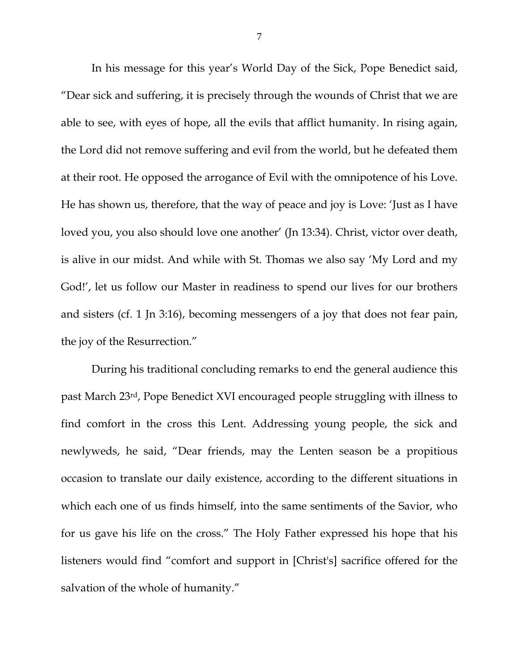In his message for this year's World Day of the Sick, Pope Benedict said, "Dear sick and suffering, it is precisely through the wounds of Christ that we are able to see, with eyes of hope, all the evils that afflict humanity. In rising again, the Lord did not remove suffering and evil from the world, but he defeated them at their root. He opposed the arrogance of Evil with the omnipotence of his Love. He has shown us, therefore, that the way of peace and joy is Love: 'Just as I have loved you, you also should love one another' (Jn 13:34). Christ, victor over death, is alive in our midst. And while with St. Thomas we also say 'My Lord and my God!', let us follow our Master in readiness to spend our lives for our brothers and sisters (cf. 1 Jn 3:16), becoming messengers of a joy that does not fear pain, the joy of the Resurrection."

During his traditional concluding remarks to end the general audience this past March 23rd, Pope Benedict XVI encouraged people struggling with illness to find comfort in the cross this Lent. Addressing young people, the sick and newlyweds, he said, "Dear friends, may the Lenten season be a propitious occasion to translate our daily existence, according to the different situations in which each one of us finds himself, into the same sentiments of the Savior, who for us gave his life on the cross." The Holy Father expressed his hope that his listeners would find "comfort and support in [Christ's] sacrifice offered for the salvation of the whole of humanity."